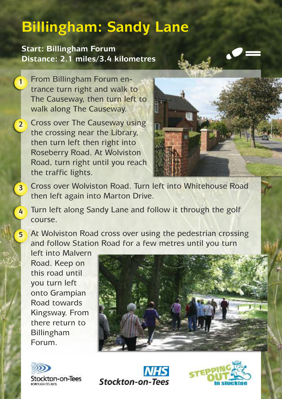## **Billingham: Sandy Lane**

**Start: Billingham Forum Distance: 2.1 miles/3.4 kilometres**

From Billingham Forum entrance turn right and walk to The Causeway, then turn left to walk along The Causeway. **1**

Cross over The Causeway using the crossing near the Library, then turn left then right into Roseberry Road. At Wolviston Road, turn right until you reach the traffic lights. **2**



- Cross over Wolviston Road. Turn left into Whitehouse Road then left again into Marton Drive. **3**
	- Turn left along Sandy Lane and follow it through the golf course.

At Wolviston Road cross over using the pedestrian crossing and follow Station Road for a few metres until you turn

left into Malvern Road. Keep on this road until you turn left onto Grampian Road towards Kingsway. From there return to Billingham Forum.

**4**

**5**